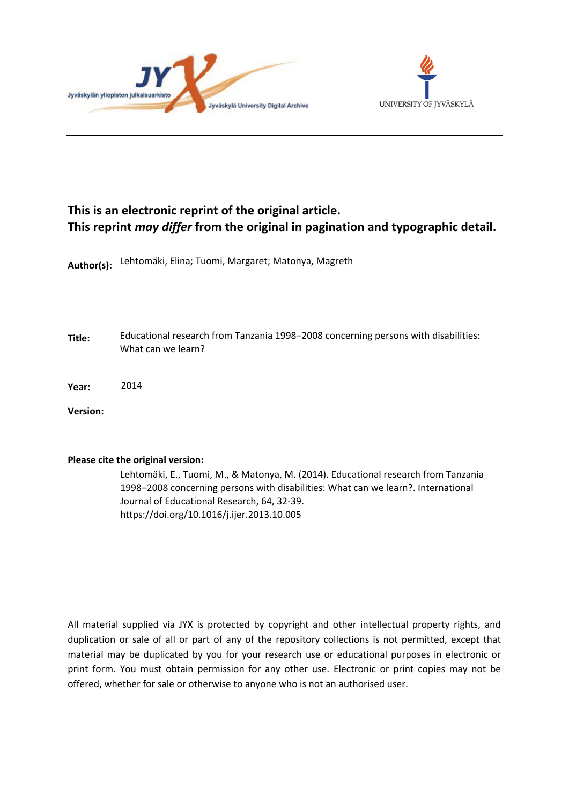



# **This is an electronic reprint of the original article. This reprint** *may differ* **from the original in pagination and typographic detail.**

**Author(s):**  Lehtomäki, Elina; Tuomi, Margaret; Matonya, Magreth

**Title:** Educational research from Tanzania 1998–2008 concerning persons with disabilities: What can we learn?

**Year:**  2014

**Version:**

#### **Please cite the original version:**

Lehtomäki, E., Tuomi, M., & Matonya, M. (2014). Educational research from Tanzania 1998–2008 concerning persons with disabilities: What can we learn?. International Journal of Educational Research, 64, 32-39. https://doi.org/10.1016/j.ijer.2013.10.005

All material supplied via JYX is protected by copyright and other intellectual property rights, and duplication or sale of all or part of any of the repository collections is not permitted, except that material may be duplicated by you for your research use or educational purposes in electronic or print form. You must obtain permission for any other use. Electronic or print copies may not be offered, whether for sale or otherwise to anyone who is not an authorised user.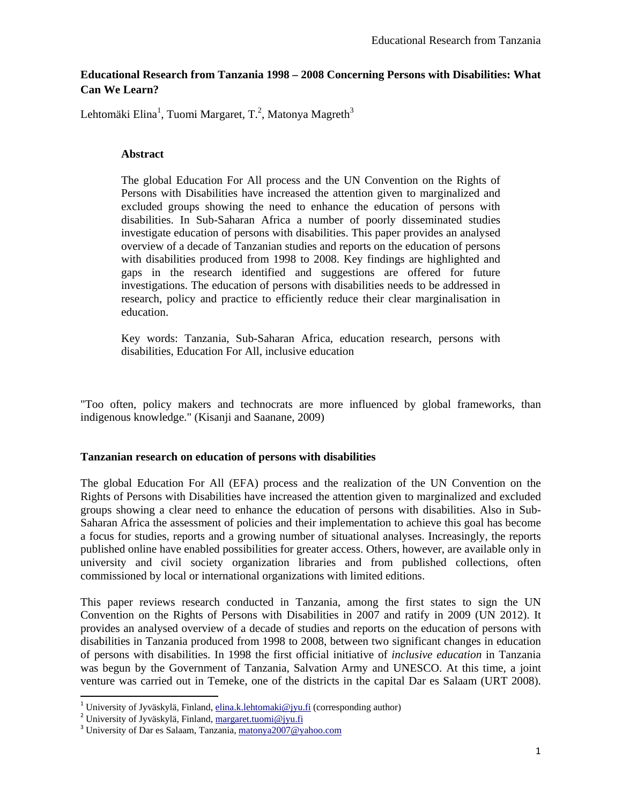## **Educational Research from Tanzania 1998 – 2008 Concerning Persons with Disabilities: What Can We Learn?**

Lehtomäki Elina $^1$ , Tuomi Margaret, T. $^2$ , Matonya Magreth $^3$ 

## **Abstract**

The global Education For All process and the UN Convention on the Rights of Persons with Disabilities have increased the attention given to marginalized and excluded groups showing the need to enhance the education of persons with disabilities. In Sub-Saharan Africa a number of poorly disseminated studies investigate education of persons with disabilities. This paper provides an analysed overview of a decade of Tanzanian studies and reports on the education of persons with disabilities produced from 1998 to 2008. Key findings are highlighted and gaps in the research identified and suggestions are offered for future investigations. The education of persons with disabilities needs to be addressed in research, policy and practice to efficiently reduce their clear marginalisation in education.

Key words: Tanzania, Sub-Saharan Africa, education research, persons with disabilities, Education For All, inclusive education

"Too often, policy makers and technocrats are more influenced by global frameworks, than indigenous knowledge." (Kisanji and Saanane, 2009)

## **Tanzanian research on education of persons with disabilities**

The global Education For All (EFA) process and the realization of the UN Convention on the Rights of Persons with Disabilities have increased the attention given to marginalized and excluded groups showing a clear need to enhance the education of persons with disabilities. Also in Sub-Saharan Africa the assessment of policies and their implementation to achieve this goal has become a focus for studies, reports and a growing number of situational analyses. Increasingly, the reports published online have enabled possibilities for greater access. Others, however, are available only in university and civil society organization libraries and from published collections, often commissioned by local or international organizations with limited editions.

This paper reviews research conducted in Tanzania, among the first states to sign the UN Convention on the Rights of Persons with Disabilities in 2007 and ratify in 2009 (UN 2012). It provides an analysed overview of a decade of studies and reports on the education of persons with disabilities in Tanzania produced from 1998 to 2008, between two significant changes in education of persons with disabilities. In 1998 the first official initiative of *inclusive education* in Tanzania was begun by the Government of Tanzania, Salvation Army and UNESCO. At this time, a joint venture was carried out in Temeke, one of the districts in the capital Dar es Salaam (URT 2008).

 <sup>1</sup> University of Jyväskylä, Finland, elina.k.lehtomaki@jyu.fi (corresponding author)

<sup>&</sup>lt;sup>2</sup> University of Jyväskylä, Finland, margaret.tuomi@jyu.fi

<sup>&</sup>lt;sup>3</sup> University of Dar es Salaam, Tanzania, matonya2007@yahoo.com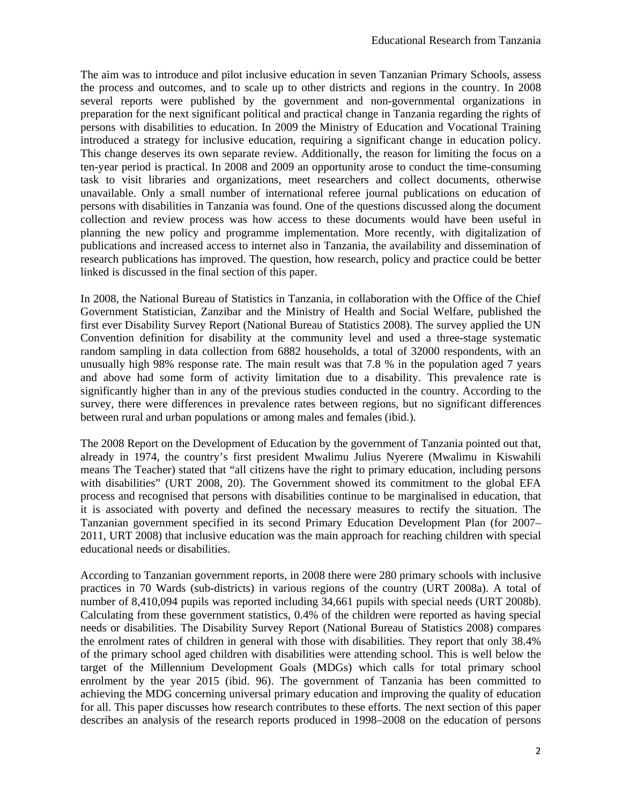The aim was to introduce and pilot inclusive education in seven Tanzanian Primary Schools, assess the process and outcomes, and to scale up to other districts and regions in the country. In 2008 several reports were published by the government and non-governmental organizations in preparation for the next significant political and practical change in Tanzania regarding the rights of persons with disabilities to education. In 2009 the Ministry of Education and Vocational Training introduced a strategy for inclusive education, requiring a significant change in education policy. This change deserves its own separate review. Additionally, the reason for limiting the focus on a ten-year period is practical. In 2008 and 2009 an opportunity arose to conduct the time-consuming task to visit libraries and organizations, meet researchers and collect documents, otherwise unavailable. Only a small number of international referee journal publications on education of persons with disabilities in Tanzania was found. One of the questions discussed along the document collection and review process was how access to these documents would have been useful in planning the new policy and programme implementation. More recently, with digitalization of publications and increased access to internet also in Tanzania, the availability and dissemination of research publications has improved. The question, how research, policy and practice could be better linked is discussed in the final section of this paper.

In 2008, the National Bureau of Statistics in Tanzania, in collaboration with the Office of the Chief Government Statistician, Zanzibar and the Ministry of Health and Social Welfare, published the first ever Disability Survey Report (National Bureau of Statistics 2008). The survey applied the UN Convention definition for disability at the community level and used a three-stage systematic random sampling in data collection from 6882 households, a total of 32000 respondents, with an unusually high 98% response rate. The main result was that 7.8 % in the population aged 7 years and above had some form of activity limitation due to a disability. This prevalence rate is significantly higher than in any of the previous studies conducted in the country. According to the survey, there were differences in prevalence rates between regions, but no significant differences between rural and urban populations or among males and females (ibid.).

The 2008 Report on the Development of Education by the government of Tanzania pointed out that, already in 1974, the country's first president Mwalimu Julius Nyerere (Mwalimu in Kiswahili means The Teacher) stated that "all citizens have the right to primary education, including persons with disabilities" (URT 2008, 20). The Government showed its commitment to the global EFA process and recognised that persons with disabilities continue to be marginalised in education, that it is associated with poverty and defined the necessary measures to rectify the situation. The Tanzanian government specified in its second Primary Education Development Plan (for 2007– 2011, URT 2008) that inclusive education was the main approach for reaching children with special educational needs or disabilities.

According to Tanzanian government reports, in 2008 there were 280 primary schools with inclusive practices in 70 Wards (sub-districts) in various regions of the country (URT 2008a). A total of number of 8,410,094 pupils was reported including 34,661 pupils with special needs (URT 2008b). Calculating from these government statistics, 0.4% of the children were reported as having special needs or disabilities. The Disability Survey Report (National Bureau of Statistics 2008) compares the enrolment rates of children in general with those with disabilities. They report that only 38.4% of the primary school aged children with disabilities were attending school. This is well below the target of the Millennium Development Goals (MDGs) which calls for total primary school enrolment by the year 2015 (ibid. 96). The government of Tanzania has been committed to achieving the MDG concerning universal primary education and improving the quality of education for all. This paper discusses how research contributes to these efforts. The next section of this paper describes an analysis of the research reports produced in 1998–2008 on the education of persons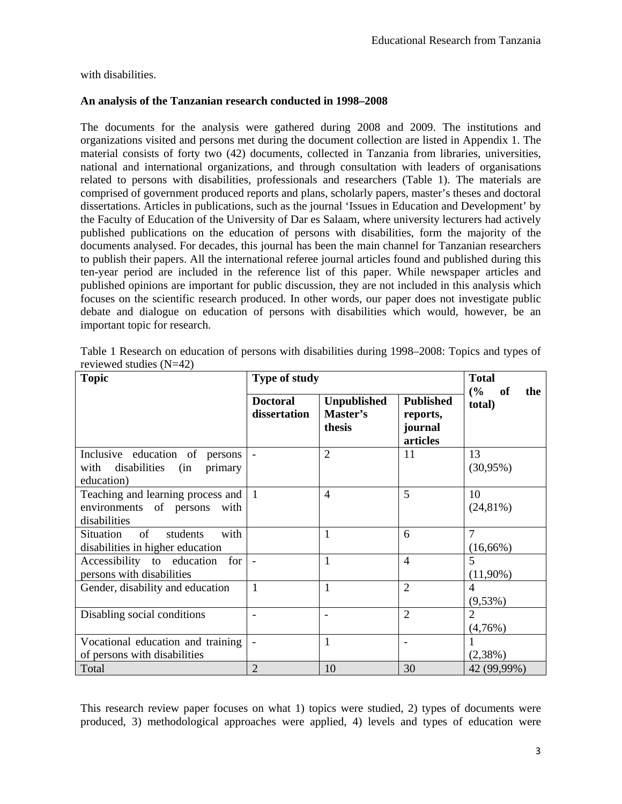with disabilities.

## **An analysis of the Tanzanian research conducted in 1998–2008**

The documents for the analysis were gathered during 2008 and 2009. The institutions and organizations visited and persons met during the document collection are listed in Appendix 1. The material consists of forty two (42) documents, collected in Tanzania from libraries, universities, national and international organizations, and through consultation with leaders of organisations related to persons with disabilities, professionals and researchers (Table 1). The materials are comprised of government produced reports and plans, scholarly papers, master's theses and doctoral dissertations. Articles in publications, such as the journal 'Issues in Education and Development' by the Faculty of Education of the University of Dar es Salaam, where university lecturers had actively published publications on the education of persons with disabilities, form the majority of the documents analysed. For decades, this journal has been the main channel for Tanzanian researchers to publish their papers. All the international referee journal articles found and published during this ten-year period are included in the reference list of this paper. While newspaper articles and published opinions are important for public discussion, they are not included in this analysis which focuses on the scientific research produced. In other words, our paper does not investigate public debate and dialogue on education of persons with disabilities which would, however, be an important topic for research.

| $\mathbf{r}$ . $\mathbf{r}$ $\mathbf{r}$ $\mathbf{r}$ $\mathbf{r}$ $\mathbf{r}$ $\mathbf{r}$ $\mathbf{r}$<br><b>Topic</b> | Type of study                   |                                          |                                                     | <b>Total</b>                 |
|---------------------------------------------------------------------------------------------------------------------------|---------------------------------|------------------------------------------|-----------------------------------------------------|------------------------------|
|                                                                                                                           | <b>Doctoral</b><br>dissertation | <b>Unpublished</b><br>Master's<br>thesis | <b>Published</b><br>reports,<br>journal<br>articles | (%)<br>of<br>the<br>total)   |
| Inclusive education of persons<br>with disabilities<br>(in<br>primary<br>education)                                       |                                 | $\overline{2}$                           | 11                                                  | 13<br>$(30,95\%)$            |
| Teaching and learning process and<br>environments of persons with<br>disabilities                                         | $\overline{1}$                  | $\overline{\mathcal{A}}$                 | 5                                                   | 10<br>$(24,81\%)$            |
| <sub>of</sub><br>with<br>Situation<br>students<br>disabilities in higher education                                        |                                 | 1                                        | 6                                                   | 7<br>$(16,66\%)$             |
| Accessibility to education for<br>persons with disabilities                                                               |                                 | 1                                        | $\overline{4}$                                      | 5<br>$(11,90\%)$             |
| Gender, disability and education                                                                                          | $\mathbf{1}$                    | $\mathbf{1}$                             | $\overline{2}$                                      | $\overline{4}$<br>$(9,53\%)$ |
| Disabling social conditions                                                                                               |                                 |                                          | $\overline{2}$                                      | $\overline{2}$<br>$(4,76\%)$ |
| Vocational education and training<br>of persons with disabilities                                                         | $\overline{\phantom{a}}$        | 1                                        | $\overline{\phantom{a}}$                            | $(2,38\%)$                   |
| Total                                                                                                                     | $\overline{2}$                  | 10                                       | 30                                                  | 42 (99,99%)                  |

Table 1 Research on education of persons with disabilities during 1998–2008: Topics and types of reviewed studies (N=42)

This research review paper focuses on what 1) topics were studied, 2) types of documents were produced, 3) methodological approaches were applied, 4) levels and types of education were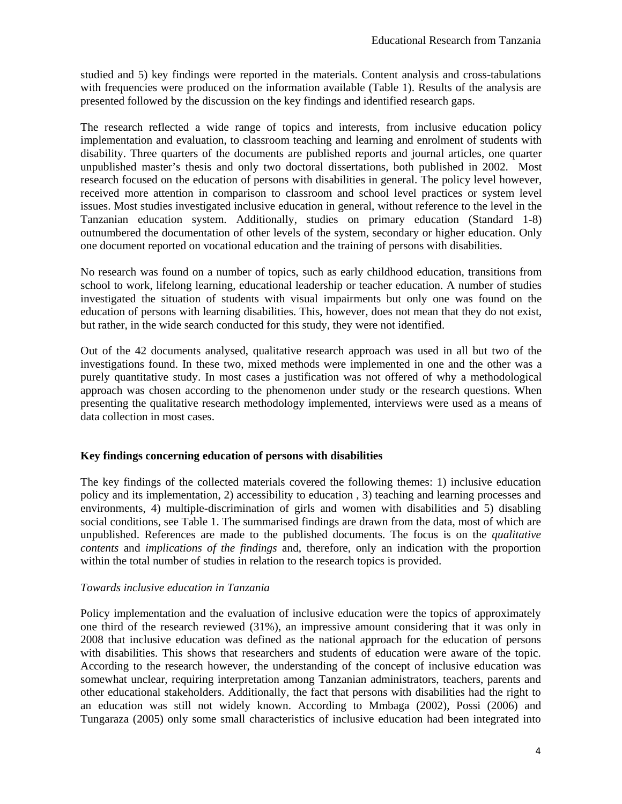studied and 5) key findings were reported in the materials. Content analysis and cross-tabulations with frequencies were produced on the information available (Table 1). Results of the analysis are presented followed by the discussion on the key findings and identified research gaps.

The research reflected a wide range of topics and interests, from inclusive education policy implementation and evaluation, to classroom teaching and learning and enrolment of students with disability. Three quarters of the documents are published reports and journal articles, one quarter unpublished master's thesis and only two doctoral dissertations, both published in 2002. Most research focused on the education of persons with disabilities in general. The policy level however, received more attention in comparison to classroom and school level practices or system level issues. Most studies investigated inclusive education in general, without reference to the level in the Tanzanian education system. Additionally, studies on primary education (Standard 1-8) outnumbered the documentation of other levels of the system, secondary or higher education. Only one document reported on vocational education and the training of persons with disabilities.

No research was found on a number of topics, such as early childhood education, transitions from school to work, lifelong learning, educational leadership or teacher education. A number of studies investigated the situation of students with visual impairments but only one was found on the education of persons with learning disabilities. This, however, does not mean that they do not exist, but rather, in the wide search conducted for this study, they were not identified.

Out of the 42 documents analysed, qualitative research approach was used in all but two of the investigations found. In these two, mixed methods were implemented in one and the other was a purely quantitative study. In most cases a justification was not offered of why a methodological approach was chosen according to the phenomenon under study or the research questions. When presenting the qualitative research methodology implemented, interviews were used as a means of data collection in most cases.

#### **Key findings concerning education of persons with disabilities**

The key findings of the collected materials covered the following themes: 1) inclusive education policy and its implementation, 2) accessibility to education , 3) teaching and learning processes and environments, 4) multiple-discrimination of girls and women with disabilities and 5) disabling social conditions, see Table 1. The summarised findings are drawn from the data, most of which are unpublished. References are made to the published documents. The focus is on the *qualitative contents* and *implications of the findings* and, therefore, only an indication with the proportion within the total number of studies in relation to the research topics is provided.

#### *Towards inclusive education in Tanzania*

Policy implementation and the evaluation of inclusive education were the topics of approximately one third of the research reviewed (31%), an impressive amount considering that it was only in 2008 that inclusive education was defined as the national approach for the education of persons with disabilities. This shows that researchers and students of education were aware of the topic. According to the research however, the understanding of the concept of inclusive education was somewhat unclear, requiring interpretation among Tanzanian administrators, teachers, parents and other educational stakeholders. Additionally, the fact that persons with disabilities had the right to an education was still not widely known. According to Mmbaga (2002), Possi (2006) and Tungaraza (2005) only some small characteristics of inclusive education had been integrated into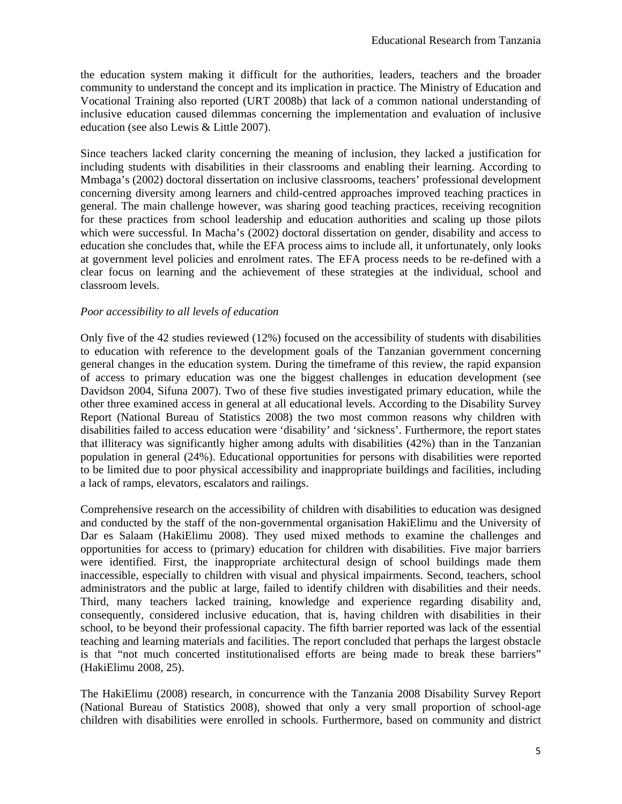the education system making it difficult for the authorities, leaders, teachers and the broader community to understand the concept and its implication in practice. The Ministry of Education and Vocational Training also reported (URT 2008b) that lack of a common national understanding of inclusive education caused dilemmas concerning the implementation and evaluation of inclusive education (see also Lewis & Little 2007).

Since teachers lacked clarity concerning the meaning of inclusion, they lacked a justification for including students with disabilities in their classrooms and enabling their learning. According to Mmbaga's (2002) doctoral dissertation on inclusive classrooms, teachers' professional development concerning diversity among learners and child-centred approaches improved teaching practices in general. The main challenge however, was sharing good teaching practices, receiving recognition for these practices from school leadership and education authorities and scaling up those pilots which were successful. In Macha's (2002) doctoral dissertation on gender, disability and access to education she concludes that, while the EFA process aims to include all, it unfortunately, only looks at government level policies and enrolment rates. The EFA process needs to be re-defined with a clear focus on learning and the achievement of these strategies at the individual, school and classroom levels.

### *Poor accessibility to all levels of education*

Only five of the 42 studies reviewed (12%) focused on the accessibility of students with disabilities to education with reference to the development goals of the Tanzanian government concerning general changes in the education system. During the timeframe of this review, the rapid expansion of access to primary education was one the biggest challenges in education development (see Davidson 2004, Sifuna 2007). Two of these five studies investigated primary education, while the other three examined access in general at all educational levels. According to the Disability Survey Report (National Bureau of Statistics 2008) the two most common reasons why children with disabilities failed to access education were 'disability' and 'sickness'. Furthermore, the report states that illiteracy was significantly higher among adults with disabilities (42%) than in the Tanzanian population in general (24%). Educational opportunities for persons with disabilities were reported to be limited due to poor physical accessibility and inappropriate buildings and facilities, including a lack of ramps, elevators, escalators and railings.

Comprehensive research on the accessibility of children with disabilities to education was designed and conducted by the staff of the non-governmental organisation HakiElimu and the University of Dar es Salaam (HakiElimu 2008). They used mixed methods to examine the challenges and opportunities for access to (primary) education for children with disabilities. Five major barriers were identified. First, the inappropriate architectural design of school buildings made them inaccessible, especially to children with visual and physical impairments. Second, teachers, school administrators and the public at large, failed to identify children with disabilities and their needs. Third, many teachers lacked training, knowledge and experience regarding disability and, consequently, considered inclusive education, that is, having children with disabilities in their school, to be beyond their professional capacity. The fifth barrier reported was lack of the essential teaching and learning materials and facilities. The report concluded that perhaps the largest obstacle is that "not much concerted institutionalised efforts are being made to break these barriers" (HakiElimu 2008, 25).

The HakiElimu (2008) research, in concurrence with the Tanzania 2008 Disability Survey Report (National Bureau of Statistics 2008), showed that only a very small proportion of school-age children with disabilities were enrolled in schools. Furthermore, based on community and district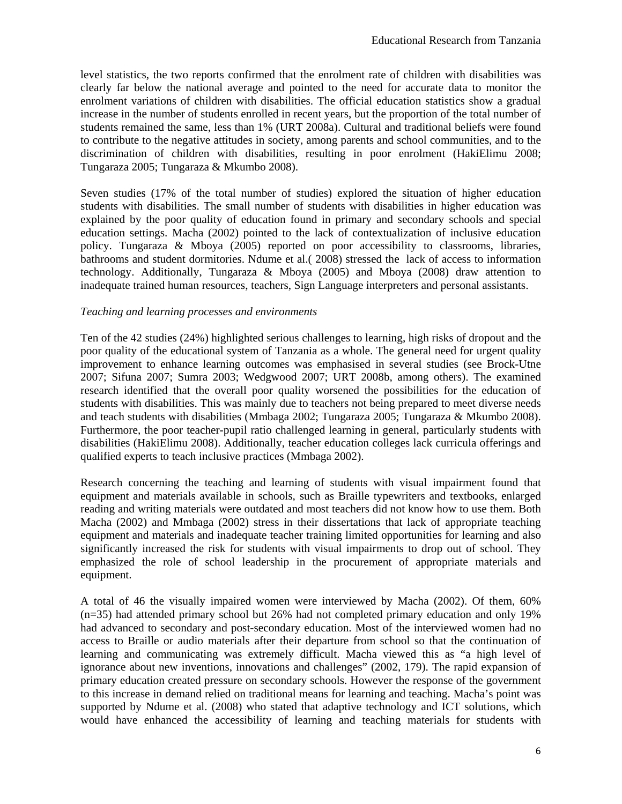level statistics, the two reports confirmed that the enrolment rate of children with disabilities was clearly far below the national average and pointed to the need for accurate data to monitor the enrolment variations of children with disabilities. The official education statistics show a gradual increase in the number of students enrolled in recent years, but the proportion of the total number of students remained the same, less than 1% (URT 2008a). Cultural and traditional beliefs were found to contribute to the negative attitudes in society, among parents and school communities, and to the discrimination of children with disabilities, resulting in poor enrolment (HakiElimu 2008; Tungaraza 2005; Tungaraza & Mkumbo 2008).

Seven studies (17% of the total number of studies) explored the situation of higher education students with disabilities. The small number of students with disabilities in higher education was explained by the poor quality of education found in primary and secondary schools and special education settings. Macha (2002) pointed to the lack of contextualization of inclusive education policy. Tungaraza & Mboya (2005) reported on poor accessibility to classrooms, libraries, bathrooms and student dormitories. Ndume et al.( 2008) stressed the lack of access to information technology. Additionally, Tungaraza & Mboya (2005) and Mboya (2008) draw attention to inadequate trained human resources, teachers, Sign Language interpreters and personal assistants.

#### *Teaching and learning processes and environments*

Ten of the 42 studies (24%) highlighted serious challenges to learning, high risks of dropout and the poor quality of the educational system of Tanzania as a whole. The general need for urgent quality improvement to enhance learning outcomes was emphasised in several studies (see Brock-Utne 2007; Sifuna 2007; Sumra 2003; Wedgwood 2007; URT 2008b, among others). The examined research identified that the overall poor quality worsened the possibilities for the education of students with disabilities. This was mainly due to teachers not being prepared to meet diverse needs and teach students with disabilities (Mmbaga 2002; Tungaraza 2005; Tungaraza & Mkumbo 2008). Furthermore, the poor teacher-pupil ratio challenged learning in general, particularly students with disabilities (HakiElimu 2008). Additionally, teacher education colleges lack curricula offerings and qualified experts to teach inclusive practices (Mmbaga 2002).

Research concerning the teaching and learning of students with visual impairment found that equipment and materials available in schools, such as Braille typewriters and textbooks, enlarged reading and writing materials were outdated and most teachers did not know how to use them. Both Macha (2002) and Mmbaga (2002) stress in their dissertations that lack of appropriate teaching equipment and materials and inadequate teacher training limited opportunities for learning and also significantly increased the risk for students with visual impairments to drop out of school. They emphasized the role of school leadership in the procurement of appropriate materials and equipment.

A total of 46 the visually impaired women were interviewed by Macha (2002). Of them, 60% (n=35) had attended primary school but 26% had not completed primary education and only 19% had advanced to secondary and post-secondary education. Most of the interviewed women had no access to Braille or audio materials after their departure from school so that the continuation of learning and communicating was extremely difficult. Macha viewed this as "a high level of ignorance about new inventions, innovations and challenges" (2002, 179). The rapid expansion of primary education created pressure on secondary schools. However the response of the government to this increase in demand relied on traditional means for learning and teaching. Macha's point was supported by Ndume et al. (2008) who stated that adaptive technology and ICT solutions, which would have enhanced the accessibility of learning and teaching materials for students with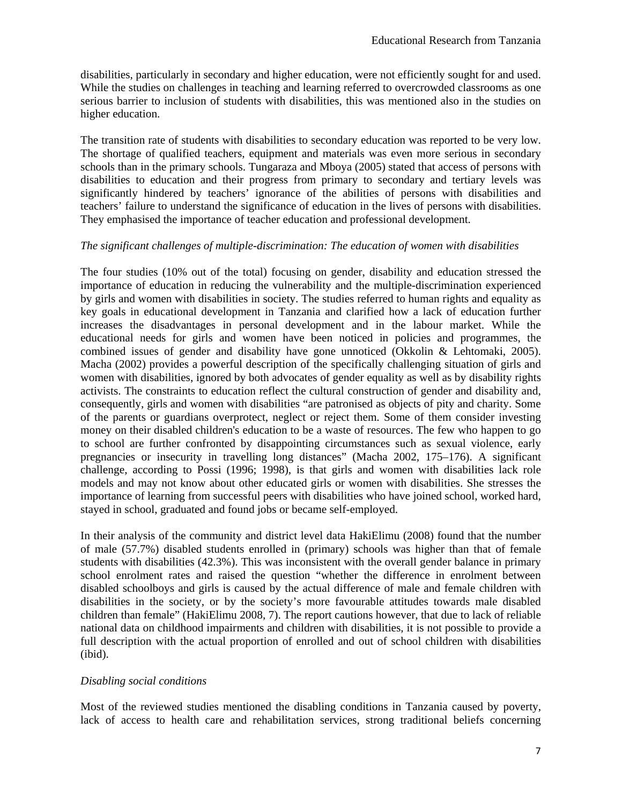disabilities, particularly in secondary and higher education, were not efficiently sought for and used. While the studies on challenges in teaching and learning referred to overcrowded classrooms as one serious barrier to inclusion of students with disabilities, this was mentioned also in the studies on higher education.

The transition rate of students with disabilities to secondary education was reported to be very low. The shortage of qualified teachers, equipment and materials was even more serious in secondary schools than in the primary schools. Tungaraza and Mboya (2005) stated that access of persons with disabilities to education and their progress from primary to secondary and tertiary levels was significantly hindered by teachers' ignorance of the abilities of persons with disabilities and teachers' failure to understand the significance of education in the lives of persons with disabilities. They emphasised the importance of teacher education and professional development.

#### *The significant challenges of multiple-discrimination: The education of women with disabilities*

The four studies (10% out of the total) focusing on gender, disability and education stressed the importance of education in reducing the vulnerability and the multiple-discrimination experienced by girls and women with disabilities in society. The studies referred to human rights and equality as key goals in educational development in Tanzania and clarified how a lack of education further increases the disadvantages in personal development and in the labour market. While the educational needs for girls and women have been noticed in policies and programmes, the combined issues of gender and disability have gone unnoticed (Okkolin & Lehtomaki, 2005). Macha (2002) provides a powerful description of the specifically challenging situation of girls and women with disabilities, ignored by both advocates of gender equality as well as by disability rights activists. The constraints to education reflect the cultural construction of gender and disability and, consequently, girls and women with disabilities "are patronised as objects of pity and charity. Some of the parents or guardians overprotect, neglect or reject them. Some of them consider investing money on their disabled children's education to be a waste of resources. The few who happen to go to school are further confronted by disappointing circumstances such as sexual violence, early pregnancies or insecurity in travelling long distances" (Macha 2002, 175–176). A significant challenge, according to Possi (1996; 1998), is that girls and women with disabilities lack role models and may not know about other educated girls or women with disabilities. She stresses the importance of learning from successful peers with disabilities who have joined school, worked hard, stayed in school, graduated and found jobs or became self-employed.

In their analysis of the community and district level data HakiElimu (2008) found that the number of male (57.7%) disabled students enrolled in (primary) schools was higher than that of female students with disabilities (42.3%). This was inconsistent with the overall gender balance in primary school enrolment rates and raised the question "whether the difference in enrolment between disabled schoolboys and girls is caused by the actual difference of male and female children with disabilities in the society, or by the society's more favourable attitudes towards male disabled children than female" (HakiElimu 2008, 7). The report cautions however, that due to lack of reliable national data on childhood impairments and children with disabilities, it is not possible to provide a full description with the actual proportion of enrolled and out of school children with disabilities (ibid).

#### *Disabling social conditions*

Most of the reviewed studies mentioned the disabling conditions in Tanzania caused by poverty, lack of access to health care and rehabilitation services, strong traditional beliefs concerning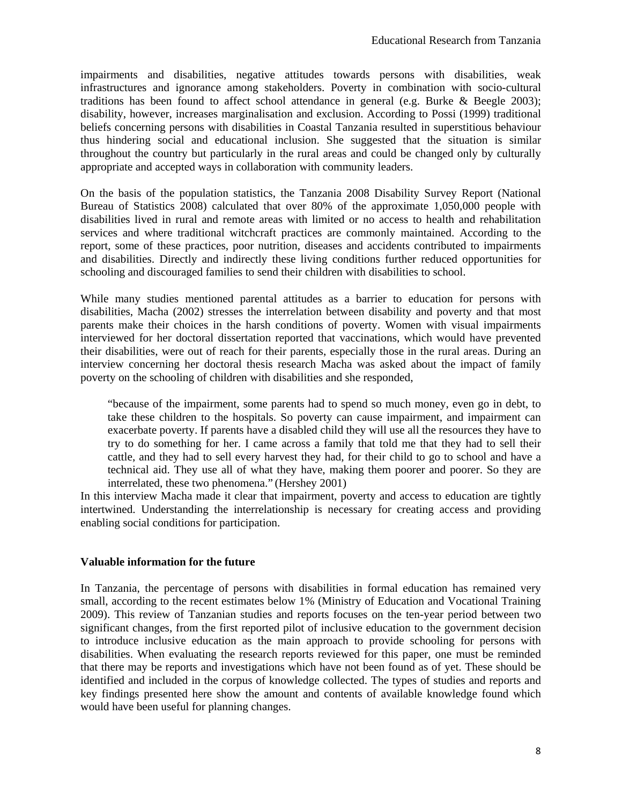impairments and disabilities, negative attitudes towards persons with disabilities, weak infrastructures and ignorance among stakeholders. Poverty in combination with socio-cultural traditions has been found to affect school attendance in general (e.g. Burke & Beegle 2003); disability, however, increases marginalisation and exclusion. According to Possi (1999) traditional beliefs concerning persons with disabilities in Coastal Tanzania resulted in superstitious behaviour thus hindering social and educational inclusion. She suggested that the situation is similar throughout the country but particularly in the rural areas and could be changed only by culturally appropriate and accepted ways in collaboration with community leaders.

On the basis of the population statistics, the Tanzania 2008 Disability Survey Report (National Bureau of Statistics 2008) calculated that over 80% of the approximate 1,050,000 people with disabilities lived in rural and remote areas with limited or no access to health and rehabilitation services and where traditional witchcraft practices are commonly maintained. According to the report, some of these practices, poor nutrition, diseases and accidents contributed to impairments and disabilities. Directly and indirectly these living conditions further reduced opportunities for schooling and discouraged families to send their children with disabilities to school.

While many studies mentioned parental attitudes as a barrier to education for persons with disabilities, Macha (2002) stresses the interrelation between disability and poverty and that most parents make their choices in the harsh conditions of poverty. Women with visual impairments interviewed for her doctoral dissertation reported that vaccinations, which would have prevented their disabilities, were out of reach for their parents, especially those in the rural areas. During an interview concerning her doctoral thesis research Macha was asked about the impact of family poverty on the schooling of children with disabilities and she responded,

"because of the impairment, some parents had to spend so much money, even go in debt, to take these children to the hospitals. So poverty can cause impairment, and impairment can exacerbate poverty. If parents have a disabled child they will use all the resources they have to try to do something for her. I came across a family that told me that they had to sell their cattle, and they had to sell every harvest they had, for their child to go to school and have a technical aid. They use all of what they have, making them poorer and poorer. So they are interrelated, these two phenomena." (Hershey 2001)

In this interview Macha made it clear that impairment, poverty and access to education are tightly intertwined. Understanding the interrelationship is necessary for creating access and providing enabling social conditions for participation.

#### **Valuable information for the future**

In Tanzania, the percentage of persons with disabilities in formal education has remained very small, according to the recent estimates below 1% (Ministry of Education and Vocational Training 2009). This review of Tanzanian studies and reports focuses on the ten-year period between two significant changes, from the first reported pilot of inclusive education to the government decision to introduce inclusive education as the main approach to provide schooling for persons with disabilities. When evaluating the research reports reviewed for this paper, one must be reminded that there may be reports and investigations which have not been found as of yet. These should be identified and included in the corpus of knowledge collected. The types of studies and reports and key findings presented here show the amount and contents of available knowledge found which would have been useful for planning changes.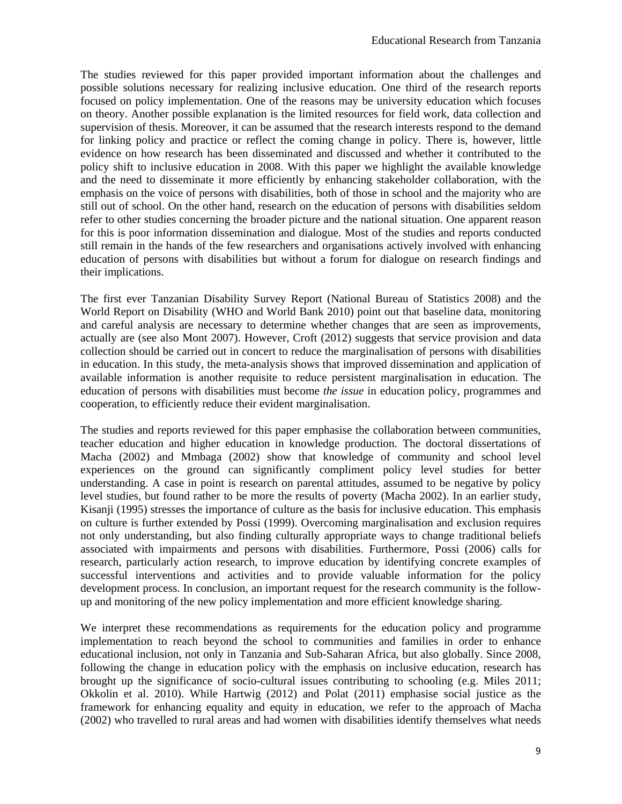The studies reviewed for this paper provided important information about the challenges and possible solutions necessary for realizing inclusive education. One third of the research reports focused on policy implementation. One of the reasons may be university education which focuses on theory. Another possible explanation is the limited resources for field work, data collection and supervision of thesis. Moreover, it can be assumed that the research interests respond to the demand for linking policy and practice or reflect the coming change in policy. There is, however, little evidence on how research has been disseminated and discussed and whether it contributed to the policy shift to inclusive education in 2008. With this paper we highlight the available knowledge and the need to disseminate it more efficiently by enhancing stakeholder collaboration, with the emphasis on the voice of persons with disabilities, both of those in school and the majority who are still out of school. On the other hand, research on the education of persons with disabilities seldom refer to other studies concerning the broader picture and the national situation. One apparent reason for this is poor information dissemination and dialogue. Most of the studies and reports conducted still remain in the hands of the few researchers and organisations actively involved with enhancing education of persons with disabilities but without a forum for dialogue on research findings and their implications.

The first ever Tanzanian Disability Survey Report (National Bureau of Statistics 2008) and the World Report on Disability (WHO and World Bank 2010) point out that baseline data, monitoring and careful analysis are necessary to determine whether changes that are seen as improvements, actually are (see also Mont 2007). However, Croft (2012) suggests that service provision and data collection should be carried out in concert to reduce the marginalisation of persons with disabilities in education. In this study, the meta-analysis shows that improved dissemination and application of available information is another requisite to reduce persistent marginalisation in education. The education of persons with disabilities must become *the issue* in education policy, programmes and cooperation, to efficiently reduce their evident marginalisation.

The studies and reports reviewed for this paper emphasise the collaboration between communities, teacher education and higher education in knowledge production. The doctoral dissertations of Macha (2002) and Mmbaga (2002) show that knowledge of community and school level experiences on the ground can significantly compliment policy level studies for better understanding. A case in point is research on parental attitudes, assumed to be negative by policy level studies, but found rather to be more the results of poverty (Macha 2002). In an earlier study, Kisanji (1995) stresses the importance of culture as the basis for inclusive education. This emphasis on culture is further extended by Possi (1999). Overcoming marginalisation and exclusion requires not only understanding, but also finding culturally appropriate ways to change traditional beliefs associated with impairments and persons with disabilities. Furthermore, Possi (2006) calls for research, particularly action research, to improve education by identifying concrete examples of successful interventions and activities and to provide valuable information for the policy development process. In conclusion, an important request for the research community is the followup and monitoring of the new policy implementation and more efficient knowledge sharing.

We interpret these recommendations as requirements for the education policy and programme implementation to reach beyond the school to communities and families in order to enhance educational inclusion, not only in Tanzania and Sub-Saharan Africa, but also globally. Since 2008, following the change in education policy with the emphasis on inclusive education, research has brought up the significance of socio-cultural issues contributing to schooling (e.g. Miles 2011; Okkolin et al. 2010). While Hartwig (2012) and Polat (2011) emphasise social justice as the framework for enhancing equality and equity in education, we refer to the approach of Macha (2002) who travelled to rural areas and had women with disabilities identify themselves what needs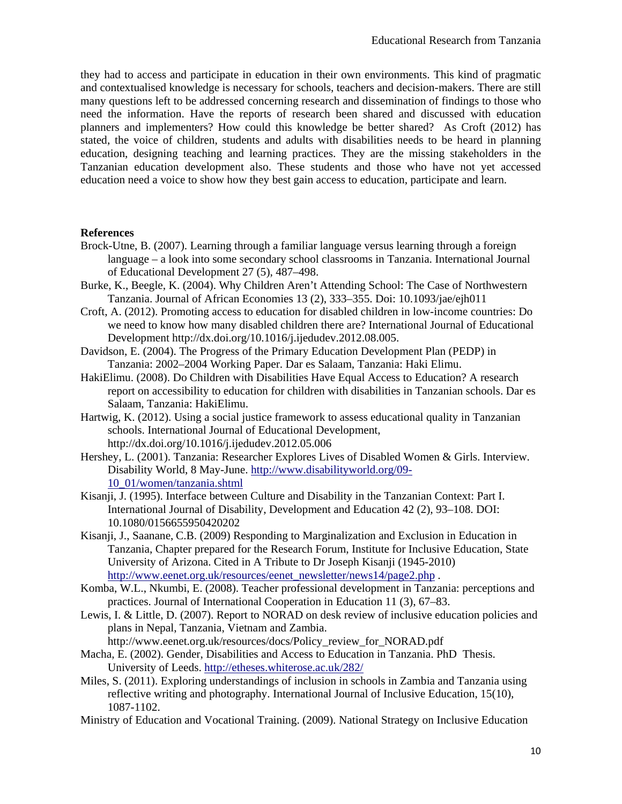they had to access and participate in education in their own environments. This kind of pragmatic and contextualised knowledge is necessary for schools, teachers and decision-makers. There are still many questions left to be addressed concerning research and dissemination of findings to those who need the information. Have the reports of research been shared and discussed with education planners and implementers? How could this knowledge be better shared? As Croft (2012) has stated, the voice of children, students and adults with disabilities needs to be heard in planning education, designing teaching and learning practices. They are the missing stakeholders in the Tanzanian education development also. These students and those who have not yet accessed education need a voice to show how they best gain access to education, participate and learn.

#### **References**

- Brock-Utne, B. (2007). Learning through a familiar language versus learning through a foreign language – a look into some secondary school classrooms in Tanzania. International Journal of Educational Development 27 (5), 487–498.
- Burke, K., Beegle, K. (2004). Why Children Aren't Attending School: The Case of Northwestern Tanzania. Journal of African Economies 13 (2), 333–355. Doi: 10.1093/jae/ejh011
- Croft, A. (2012). Promoting access to education for disabled children in low-income countries: Do we need to know how many disabled children there are? International Journal of Educational Development http://dx.doi.org/10.1016/j.ijedudev.2012.08.005.
- Davidson, E. (2004). The Progress of the Primary Education Development Plan (PEDP) in Tanzania: 2002–2004 Working Paper. Dar es Salaam, Tanzania: Haki Elimu.
- HakiElimu. (2008). Do Children with Disabilities Have Equal Access to Education? A research report on accessibility to education for children with disabilities in Tanzanian schools. Dar es Salaam, Tanzania: HakiElimu.
- Hartwig, K. (2012). Using a social justice framework to assess educational quality in Tanzanian schools. International Journal of Educational Development, http://dx.doi.org/10.1016/j.ijedudev.2012.05.006
- Hershey, L. (2001). Tanzania: Researcher Explores Lives of Disabled Women & Girls. Interview. Disability World, 8 May-June. http://www.disabilityworld.org/09- 10\_01/women/tanzania.shtml
- Kisanji, J. (1995). Interface between Culture and Disability in the Tanzanian Context: Part I. International Journal of Disability, Development and Education 42 (2), 93–108. DOI: 10.1080/0156655950420202
- Kisanji, J., Saanane, C.B. (2009) Responding to Marginalization and Exclusion in Education in Tanzania, Chapter prepared for the Research Forum, Institute for Inclusive Education, State University of Arizona. Cited in A Tribute to Dr Joseph Kisanji (1945-2010) http://www.eenet.org.uk/resources/eenet\_newsletter/news14/page2.php .
- Komba, W.L., Nkumbi, E. (2008). Teacher professional development in Tanzania: perceptions and practices. Journal of International Cooperation in Education 11 (3), 67–83.
- Lewis, I. & Little, D. (2007). Report to NORAD on desk review of inclusive education policies and plans in Nepal, Tanzania, Vietnam and Zambia.

http://www.eenet.org.uk/resources/docs/Policy\_review\_for\_NORAD.pdf Macha, E. (2002). Gender, Disabilities and Access to Education in Tanzania. PhD Thesis. University of Leeds. http://etheses.whiterose.ac.uk/282/

- Miles, S. (2011). Exploring understandings of inclusion in schools in Zambia and Tanzania using reflective writing and photography. International Journal of Inclusive Education, 15(10), 1087-1102.
- Ministry of Education and Vocational Training. (2009). National Strategy on Inclusive Education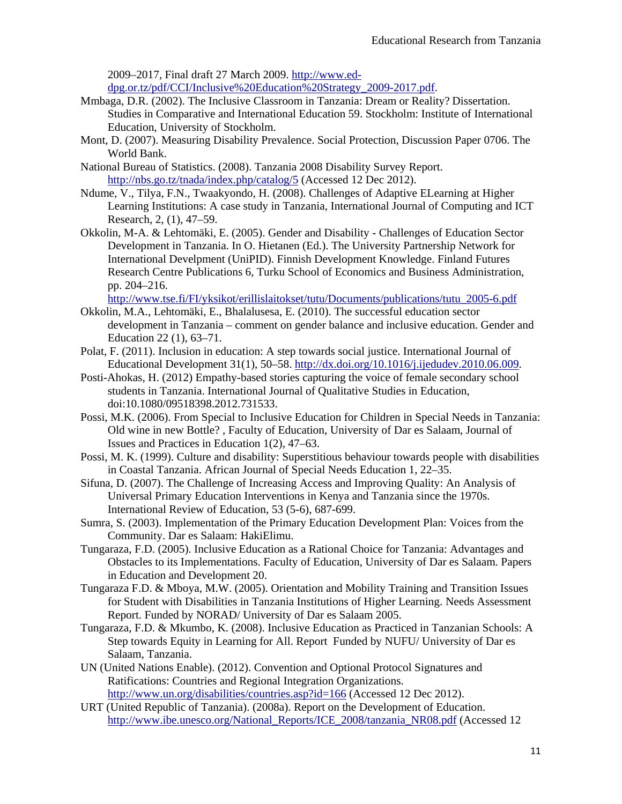2009–2017, Final draft 27 March 2009. http://www.ed-

dpg.or.tz/pdf/CCI/Inclusive%20Education%20Strategy\_2009-2017.pdf.

- Mmbaga, D.R. (2002). The Inclusive Classroom in Tanzania: Dream or Reality? Dissertation. Studies in Comparative and International Education 59. Stockholm: Institute of International Education, University of Stockholm.
- Mont, D. (2007). Measuring Disability Prevalence. Social Protection, Discussion Paper 0706. The World Bank.
- National Bureau of Statistics. (2008). Tanzania 2008 Disability Survey Report. http://nbs.go.tz/tnada/index.php/catalog/5 (Accessed 12 Dec 2012).
- Ndume, V., Tilya, F.N., Twaakyondo, H. (2008). Challenges of Adaptive ELearning at Higher Learning Institutions: A case study in Tanzania, International Journal of Computing and ICT Research, 2, (1), 47–59.
- Okkolin, M-A. & Lehtomäki, E. (2005). Gender and Disability Challenges of Education Sector Development in Tanzania. In O. Hietanen (Ed.). The University Partnership Network for International Develpment (UniPID). Finnish Development Knowledge. Finland Futures Research Centre Publications 6, Turku School of Economics and Business Administration, pp. 204–216.

http://www.tse.fi/FI/yksikot/erillislaitokset/tutu/Documents/publications/tutu\_2005-6.pdf

- Okkolin, M.A., Lehtomäki, E., Bhalalusesa, E. (2010). The successful education sector development in Tanzania – comment on gender balance and inclusive education. Gender and Education 22 (1), 63–71.
- Polat, F. (2011). Inclusion in education: A step towards social justice. International Journal of Educational Development 31(1), 50–58. http://dx.doi.org/10.1016/j.ijedudev.2010.06.009.
- Posti-Ahokas, H. (2012) Empathy-based stories capturing the voice of female secondary school students in Tanzania. International Journal of Qualitative Studies in Education, doi:10.1080/09518398.2012.731533.
- Possi, M.K. (2006). From Special to Inclusive Education for Children in Special Needs in Tanzania: Old wine in new Bottle? , Faculty of Education, University of Dar es Salaam, Journal of Issues and Practices in Education 1(2), 47–63.
- Possi, M. K. (1999). Culture and disability: Superstitious behaviour towards people with disabilities in Coastal Tanzania. African Journal of Special Needs Education 1, 22–35.
- Sifuna, D. (2007). The Challenge of Increasing Access and Improving Quality: An Analysis of Universal Primary Education Interventions in Kenya and Tanzania since the 1970s. International Review of Education, 53 (5-6), 687-699.
- Sumra, S. (2003). Implementation of the Primary Education Development Plan: Voices from the Community. Dar es Salaam: HakiElimu.
- Tungaraza, F.D. (2005). Inclusive Education as a Rational Choice for Tanzania: Advantages and Obstacles to its Implementations. Faculty of Education, University of Dar es Salaam. Papers in Education and Development 20.
- Tungaraza F.D. & Mboya, M.W. (2005). Orientation and Mobility Training and Transition Issues for Student with Disabilities in Tanzania Institutions of Higher Learning. Needs Assessment Report. Funded by NORAD/ University of Dar es Salaam 2005.
- Tungaraza, F.D. & Mkumbo, K. (2008). Inclusive Education as Practiced in Tanzanian Schools: A Step towards Equity in Learning for All. Report Funded by NUFU/ University of Dar es Salaam, Tanzania.
- UN (United Nations Enable). (2012). Convention and Optional Protocol Signatures and Ratifications: Countries and Regional Integration Organizations. http://www.un.org/disabilities/countries.asp?id=166 (Accessed 12 Dec 2012).
- URT (United Republic of Tanzania). (2008a). Report on the Development of Education. http://www.ibe.unesco.org/National\_Reports/ICE\_2008/tanzania\_NR08.pdf (Accessed 12